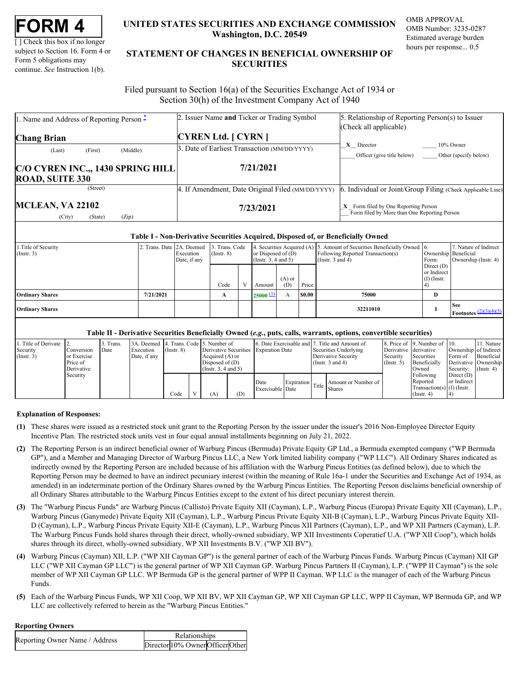| FORM |  |
|------|--|
|------|--|

[ ] Check this box if no longer subject to Section 16. Form 4 or Form 5 obligations may continue. *See* Instruction 1(b).

## **UNITED STATES SECURITIES AND EXCHANGE COMMISSION OMB APPROVAL Washington, D.C. 20549**

OMB Number: 3235-0287 Estimated average burden hours per response... 0.5

# **UNITED STATES SECURITIES AND EXCHANGE COMMISSION**<br>
UNITED STATES SECURITIES AND EXCHANGE COMMISSION<br>
UNERSITY OF SUBJECT AND THE STATEMENT OF CHANGES IN BENEFICIAL OWNERSHIP OF<br>
Form 5 obligations may<br>
continue. See Instr **STATEMENT OF CHANGES IN BENEFICIAL OWNERSHIP OF SECURITIES** TATES SECURITIES AND EXCHANGE COMMISSION OMB APPROVAL<br>Washington, D.C. 20549<br>Estimated average burden<br>ENT OF CHANGES IN BENEFICIAL OWNERSHIP OF<br>SECURITIES

 Filed pursuant to Section 16(a) of the Securities Exchange Act of 1934 or Section 30(h) of the Investment Company Act of 1940

| 1. Name and Address of Reporting Person <sup>*</sup> | 2. Issuer Name and Ticker or Trading Symbol       | 5. Relationship of Reporting Person(s) to Issuer                                       |
|------------------------------------------------------|---------------------------------------------------|----------------------------------------------------------------------------------------|
|                                                      |                                                   | (Check all applicable)                                                                 |
| <b>Chang Brian</b>                                   | <b>CYREN Ltd.</b> [ CYRN ]                        |                                                                                        |
| (Middle)<br>(First)<br>(Last)                        | 3. Date of Earliest Transaction (MM/DD/YYYY)      | X Director<br>10% Owner                                                                |
|                                                      |                                                   | Officer (give title below)<br>Other (specify below)                                    |
| C/O CYREN INC.,, 1430 SPRING HILL                    | 7/21/2021                                         |                                                                                        |
| <b>ROAD, SUITE 330</b>                               |                                                   |                                                                                        |
| (Street)                                             | 4. If Amendment, Date Original Filed (MM/DD/YYYY) | . Individual or Joint/Group Filing (Check Applicable Line)                             |
| <b>MCLEAN, VA 22102</b><br>(Zip)                     | 7/23/2021                                         | $X$ Form filed by One Reporting Person<br>Form filed by More than One Reporting Person |

#### **Table I - Non-Derivative Securities Acquired, Disposed of, or Beneficially Owned**

| 1. Title of Security<br>$($ Instr. 3 $)$ | 2. Trans. Date 2A. Deemed | Execution<br>Date, if any | 3. Trans. Code<br>$($ Instr. $8)$ | or Disposed of $(D)$<br>$($ Instr. 3, 4 and 5 $)$ |                 |        | 4. Securities Acquired (A) 5. Amount of Securities Beneficially Owned 6.<br>Following Reported Transaction(s)<br>(Instr. $3$ and $4$ ) | Form:                                        | 7. Nature of Indirect<br>Ownership Beneficial<br>Ownership (Instr. 4) |
|------------------------------------------|---------------------------|---------------------------|-----------------------------------|---------------------------------------------------|-----------------|--------|----------------------------------------------------------------------------------------------------------------------------------------|----------------------------------------------|-----------------------------------------------------------------------|
|                                          |                           |                           | Code                              | Amount                                            | $(A)$ or<br>(D) | Price  |                                                                                                                                        | Direct $(D)$<br>or Indirect<br>$(I)$ (Instr. |                                                                       |
| <b>Ordinary Shares</b>                   | 7/21/2021                 |                           | A                                 | $25000 \pm 1$                                     |                 | \$0.00 | 75000                                                                                                                                  | D                                            |                                                                       |
| <b>Ordinary Shares</b>                   |                           |                           |                                   |                                                   |                 |        | 32211010                                                                                                                               |                                              | <b>See</b><br><b>Footnotes</b> $\frac{(2)(3)(4)(5)}{2}$               |

## **Table II - Derivative Securities Beneficially Owned (***e.g.***, puts, calls, warrants, options, convertible securities)**

|             | 1. Title of Derivate 2. |             | Trans. | 3A. Deemed 4. Trans. Code 5. Number of |                  |                     |     |                                       |  | 6. Date Exercisable and 7. Title and Amount of |                       | 8. Price of 19. Number of 10. |              | 11. Nature                    |
|-------------|-------------------------|-------------|--------|----------------------------------------|------------------|---------------------|-----|---------------------------------------|--|------------------------------------------------|-----------------------|-------------------------------|--------------|-------------------------------|
| Security    |                         | Conversion  | Date   | Execution                              | $($ Instr. 8 $)$ |                     |     | Derivative Securities Expiration Date |  | Securities Underlying                          | Derivative derivative |                               |              | Ownership of Indirect         |
| (Insert. 3) |                         | or Exercise |        | Date, if any                           |                  | Acquired $(A)$ or   |     |                                       |  | Derivative Security                            | Security              | Securities                    |              | Form of Beneficial            |
|             |                         | Price of    |        |                                        |                  | Disposed of (D)     |     |                                       |  | (Instr. $3$ and $4$ )                          | $($ Instr. 5 $)$      | Beneficially                  |              | Derivative Ownership          |
|             |                         | Derivative  |        |                                        |                  | (Insert. 3.4 and 5) |     |                                       |  |                                                |                       | Owned                         |              | Security: $(\text{Instr. 4})$ |
|             |                         | Security    |        |                                        |                  |                     |     |                                       |  |                                                |                       | Following                     | Direct $(D)$ |                               |
|             |                         |             |        |                                        |                  |                     |     | Date                                  |  |                                                |                       | Reported                      | or Indirect  |                               |
|             |                         |             |        |                                        |                  |                     |     | Exercisable Date                      |  | Expiration Title Amount or Number of Bate      |                       | Transaction(s) $(I)$ (Instr.  |              |                               |
|             |                         |             |        |                                        | Code             | A)                  | (D) |                                       |  |                                                |                       | $($ Instr. 4 $)$              |              |                               |

### **Explanation of Responses:**

- <span id="page-0-0"></span>**(1)** These shares were issued as a restricted stock unit grant to the Reporting Person by the issuer under the issuer's 2016 Non-Employee Director Equity Incentive Plan. The restricted stock units vest in four equal annual installments beginning on July 21, 2022.
- <span id="page-0-1"></span>**(2)** The Reporting Person is an indirect beneficial owner of Warburg Pincus (Bermuda) Private Equity GP Ltd., a Bermuda exempted company ("WP Bermuda GP"), and a Member and Managing Director of Warburg Pincus LLC, a New York limited liability company ("WP LLC"). All Ordinary Shares indicated as indirectly owned by the Reporting Person are included because of his affiliation with the Warburg Pincus Entities (as defined below), due to which the Reporting Person may be deemed to have an indirect pecuniary interest (within the meaning of Rule 16a-1 under the Securities and Exchange Act of 1934, as amended) in an indeterminate portion of the Ordinary Shares owned by the Warburg Pincus Entities. The Reporting Person disclaims beneficial ownership of all Ordinary Shares attributable to the Warburg Pincus Entities except to the extent of his direct pecuniary interest therein.
- <span id="page-0-2"></span>**(3)** The "Warburg Pincus Funds" are Warburg Pincus (Callisto) Private Equity XII (Cayman), L.P., Warburg Pincus (Europa) Private Equity XII (Cayman), L.P., Warburg Pincus (Ganymede) Private Equity XII (Cayman), L.P., Warburg Pincus Private Equity XII-B (Cayman), L.P., Warburg Pincus Private Equity XII-D (Cayman), L.P., Warburg Pincus Private Equity XII-E (Cayman), L.P., Warburg Pincus XII Partners (Cayman), L.P., and WP XII Partners (Cayman), L.P. The Warburg Pincus Funds hold shares through their direct, wholly-owned subsidiary, WP XII Investments Coperatief U.A. ("WP XII Coop"), which holds shares through its direct, wholly-owned subsidiary, WP XII Investments B.V. ("WP XII BV").
- <span id="page-0-3"></span>**(4)** Warburg Pincus (Cayman) XII, L.P. ("WP XII Cayman GP") is the general partner of each of the Warburg Pincus Funds. Warburg Pincus (Cayman) XII GP LLC ("WP XII Cayman GP LLC") is the general partner of WP XII Cayman GP. Warburg Pincus Partners II (Cayman), L.P. ("WPP II Cayman") is the sole member of WP XII Cayman GP LLC. WP Bermuda GP is the general partner of WPP II Cayman. WP LLC is the manager of each of the Warburg Pincus Funds.
- <span id="page-0-4"></span>**(5)** Each of the Warburg Pincus Funds, WP XII Coop, WP XII BV, WP XII Cayman GP, WP XII Cayman GP LLC, WPP II Cayman, WP Bermuda GP, and WP LLC are collectively referred to herein as the "Warburg Pincus Entities."

### **Reporting Owners**

| Reporting Owner Name / Address | Relationships                    |  |
|--------------------------------|----------------------------------|--|
|                                | Director 10% Owner Officer Other |  |